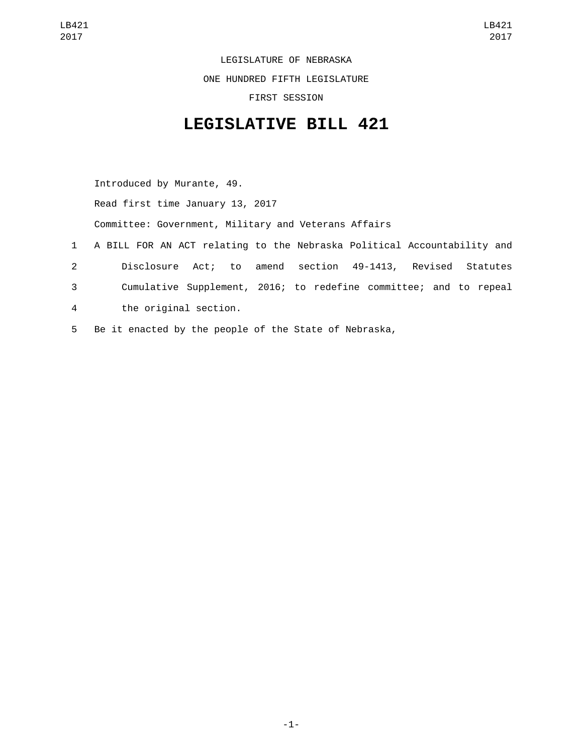LEGISLATURE OF NEBRASKA

ONE HUNDRED FIFTH LEGISLATURE

FIRST SESSION

## **LEGISLATIVE BILL 421**

Introduced by Murante, 49. Read first time January 13, 2017 Committee: Government, Military and Veterans Affairs 1 A BILL FOR AN ACT relating to the Nebraska Political Accountability and 2 Disclosure Act; to amend section 49-1413, Revised Statutes 3 Cumulative Supplement, 2016; to redefine committee; and to repeal the original section.4

5 Be it enacted by the people of the State of Nebraska,